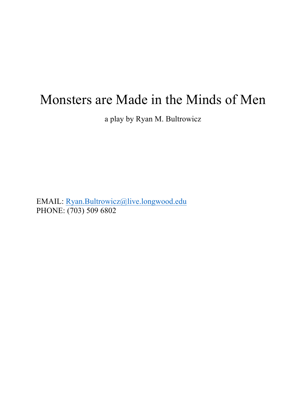# Monsters are Made in the Minds of Men

a play by Ryan M. Bultrowicz

EMAIL: Ryan.Bultrowicz@live.longwood.edu PHONE: (703) 509 6802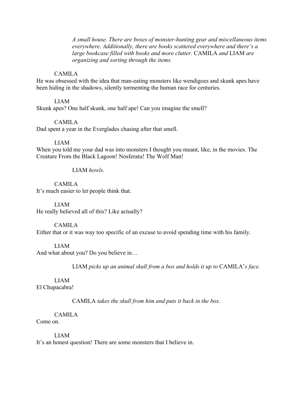*A small house. There are boxes of monster-hunting gear and miscellaneous items everywhere. Additionally, there are books scattered everywhere and there's a large bookcase filled with books and more clutter.* CAMILA *and* LIAM *are organizing and sorting through the items.*

### CAMILA

He was obsessed with the idea that man-eating monsters like wendigoes and skunk apes have been hiding in the shadows, silently tormenting the human race for centuries.

#### LIAM

Skunk apes? One half skunk, one half ape! Can you imagine the smell?

#### CAMILA

Dad spent a year in the Everglades chasing after that smell.

#### LIAM

When you told me your dad was into monsters I thought you meant, like, in the movies. The Creature From the Black Lagoon! Nosferatu! The Wolf Man!

## LIAM *howls.*

## CAMILA

It's much easier to let people think that.

#### LIAM

He really believed all of this? Like actually?

#### CAMILA

Either that or it was way too specific of an excuse to avoid spending time with his family.

#### LIAM

And what about you? Do you believe in…

LIAM *picks up an animal skull from a box and holds it up to* CAMILA'*s face.*

## LIAM

El Chupacabra!

CAMILA *takes the skull from him and puts it back in the box.*

#### CAMILA

## Come on.

#### LIAM

It's an honest question! There are some monsters that I believe in.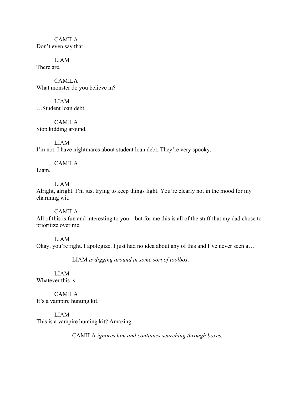CAMILA Don't even say that.

LIAM There are.

CAMILA What monster do you believe in?

LIAM …Student loan debt.

CAMILA Stop kidding around.

LIAM I'm not. I have nightmares about student loan debt. They're very spooky.

## CAMILA

Liam.

LIAM

Alright, alright. I'm just trying to keep things light. You're clearly not in the mood for my charming wit.

CAMILA

All of this is fun and interesting to you – but for me this is all of the stuff that my dad chose to prioritize over me.

LIAM Okay, you're right. I apologize. I just had no idea about any of this and I've never seen a…

LIAM *is digging around in some sort of toolbox.*

LIAM Whatever this is.

CAMILA It's a vampire hunting kit.

LIAM This is a vampire hunting kit? Amazing.

CAMILA *ignores him and continues searching through boxes.*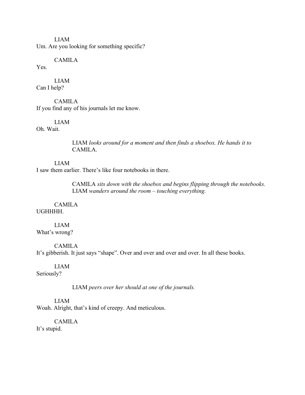LIAM Um. Are you looking for something specific?

CAMILA

Yes.

LIAM Can I help?

CAMILA If you find any of his journals let me know.

LIAM

Oh. Wait.

LIAM *looks around for a moment and then finds a shoebox. He hands it to*  CAMILA.

LIAM I saw them earlier. There's like four notebooks in there.

> CAMILA *sits down with the shoebox and begins flipping through the notebooks.* LIAM *wanders around the room – touching everything.*

CAMILA UGHHHH.

LIAM What's wrong?

CAMILA It's gibberish. It just says "shape". Over and over and over and over. In all these books.

LIAM

Seriously?

LIAM *peers over her should at one of the journals.*

LIAM Woah. Alright, that's kind of creepy. And meticulous.

CAMILA It's stupid.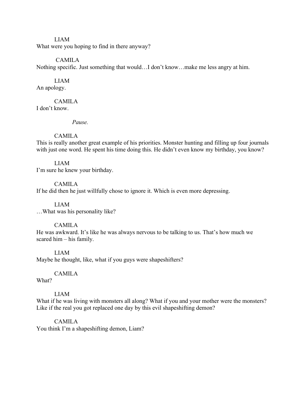#### LIAM

What were you hoping to find in there anyway?

## CAMILA

Nothing specific. Just something that would…I don't know…make me less angry at him.

## LIAM

An apology.

## CAMILA

I don't know.

*Pause.*

## CAMILA

This is really another great example of his priorities. Monster hunting and filling up four journals with just one word. He spent his time doing this. He didn't even know my birthday, you know?

## LIAM

I'm sure he knew your birthday.

## CAMILA

If he did then he just willfully chose to ignore it. Which is even more depressing.

### LIAM …What was his personality like?

## CAMILA

He was awkward. It's like he was always nervous to be talking to us. That's how much we scared him – his family.

LIAM Maybe he thought, like, what if you guys were shapeshifters?

## CAMILA

What?

## LIAM

What if he was living with monsters all along? What if you and your mother were the monsters? Like if the real you got replaced one day by this evil shapeshifting demon?

## CAMILA

You think I'm a shapeshifting demon, Liam?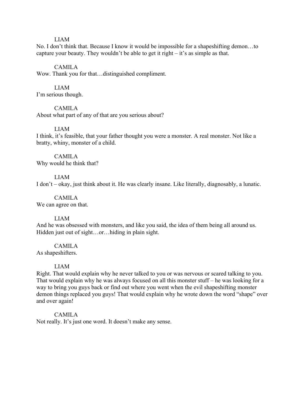#### LIAM

No. I don't think that. Because I know it would be impossible for a shapeshifting demon…to capture your beauty. They wouldn't be able to get it right – it's as simple as that.

#### CAMILA

Wow. Thank you for that…distinguished compliment.

## LIAM

I'm serious though.

CAMILA

About what part of any of that are you serious about?

#### LIAM

I think, it's feasible, that your father thought you were a monster. A real monster. Not like a bratty, whiny, monster of a child.

# CAMILA

Why would he think that?

#### LIAM

I don't – okay, just think about it. He was clearly insane. Like literally, diagnosably, a lunatic.

CAMILA We can agree on that.

#### LIAM

And he was obsessed with monsters, and like you said, the idea of them being all around us. Hidden just out of sight…or…hiding in plain sight.

#### CAMILA

As shapeshifters.

#### LIAM

Right. That would explain why he never talked to you or was nervous or scared talking to you. That would explain why he was always focused on all this monster stuff – he was looking for a way to bring you guys back or find out where you went when the evil shapeshifting monster demon things replaced you guys! That would explain why he wrote down the word "shape" over and over again!

#### CAMILA

Not really. It's just one word. It doesn't make any sense.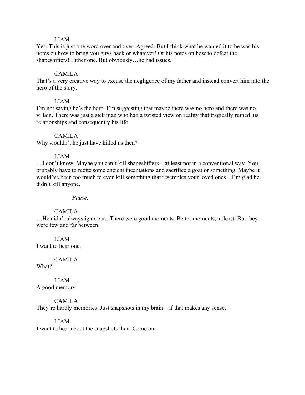#### LIAM

Yes. This is just one word over and over. Agreed. But I think what he wanted it to be was his notes on how to bring you guys back or whatever! Or his notes on how to defeat the shapeshifters! Either one. But obviously...he had issues.

#### CAMILA

That's a very creative way to excuse the negligence of my father and instead convert him into the hero of the story.

#### LIAM

I'm not saying he's the hero. I'm suggesting that maybe there was no hero and there was no villain. There was just a sick man who had a twisted view on reality that tragically ruined his relationships and consequently his life.

#### CAMILA

Why wouldn't he just have killed us then?

#### LIAM

…I don't know. Maybe you can't kill shapeshifters – at least not in a conventional way. You probably have to recite some ancient incantations and sacrifice a goat or something. Maybe it would've been too much to even kill something that resembles your loved ones…I'm glad he didn't kill anyone.

*Pause.*

#### CAMILA

…He didn't always ignore us. There were good moments. Better moments, at least. But they were few and far between.

LIAM I want to hear one.

CAMILA

What?

LIAM A good memory.

CAMILA They're hardly memories. Just snapshots in my brain – if that makes any sense.

## LIAM

I want to hear about the snapshots then. Come on.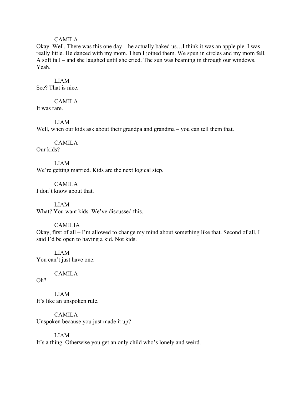#### CAMILA

Okay. Well. There was this one day…he actually baked us…I think it was an apple pie. I was really little. He danced with my mom. Then I joined them. We spun in circles and my mom fell. A soft fall – and she laughed until she cried. The sun was beaming in through our windows. Yeah.

#### LIAM

See? That is nice.

## CAMILA

It was rare.

#### LIAM

Well, when our kids ask about their grandpa and grandma – you can tell them that.

## CAMILA

Our kids?

LIAM We're getting married. Kids are the next logical step.

CAMILA I don't know about that.

LIAM What? You want kids. We've discussed this.

#### CAMILIA

Okay, first of all – I'm allowed to change my mind about something like that. Second of all, I said I'd be open to having a kid. Not kids.

LIAM You can't just have one.

#### CAMILA

Oh?

LIAM It's like an unspoken rule.

CAMILA Unspoken because you just made it up?

## LIAM

It's a thing. Otherwise you get an only child who's lonely and weird.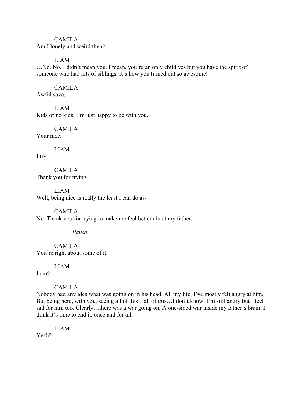## CAMILA

Am I lonely and weird then?

## LIAM

…No. No, I didn't mean you. I mean, you're an only child yes but you have the spirit of someone who had lots of siblings. It's how you turned out so awesome!

## CAMILA

Awful save.

LIAM Kids or no kids. I'm just happy to be with you.

# CAMILA

Your nice.

LIAM

I try.

CAMILA Thank you for trying.

LIAM Well, being nice is really the least I can do as-

## CAMILA

No. Thank you for trying to make me feel better about my father.

## *Pause.*

CAMILA You're right about some of it.

LIAM

I am?

## CAMILA

Nobody had any idea what was going on in his head. All my life, I've mostly felt angry at him. But being here, with you, seeing all of this…all of this…I don't know. I'm still angry but I feel sad for him too. Clearly...there was a war going on, A one-sided war inside my father's brain. I think it's time to end it, once and for all.

LIAM

Yeah?